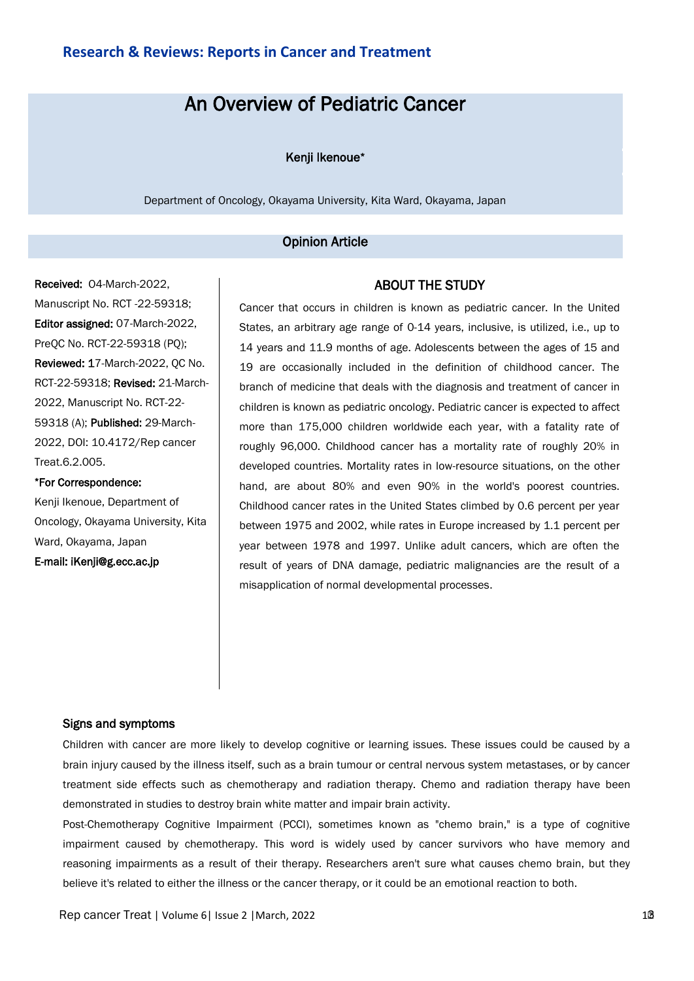# An Overview of Pediatric Cancer

### Kenji Ikenoue\*

Department of Oncology, Okayama University, Kita Ward, Okayama, Japan

#### Opinion Article

Received: O4-March-2022, Manuscript No. RCT -22-59318; Editor assigned: 07-March-2022, PreQC No. RCT-22-59318 (PQ); Reviewed: 17-March-2022, QC No. RCT-22-59318; Revised: 21-March-2022, Manuscript No. RCT-22- 59318 (A); Published: 29-March-2022, DOI: 10.4172/Rep cancer Treat.6.2.005.

\*For Correspondence: Kenji Ikenoue, Department of Oncology, Okayama University, Kita Ward, Okayama, Japan E-mail: iKenji@g.ecc.ac.jp

## ABOUT THE STUDY

Cancer that occurs in children is known as pediatric cancer. In the United States, an arbitrary age range of 0-14 years, inclusive, is utilized, i.e., up to 14 years and 11.9 months of age. Adolescents between the ages of 15 and 19 are occasionally included in the definition of childhood cancer. The branch of medicine that deals with the diagnosis and treatment of cancer in children is known as pediatric oncology. Pediatric cancer is expected to affect more than 175,000 children worldwide each year, with a fatality rate of roughly 96,000. Childhood cancer has a mortality rate of roughly 20% in developed countries. Mortality rates in low-resource situations, on the other hand, are about 80% and even 90% in the world's poorest countries. Childhood cancer rates in the United States climbed by 0.6 percent per year between 1975 and 2002, while rates in Europe increased by 1.1 percent per year between 1978 and 1997. Unlike adult cancers, which are often the result of years of DNA damage, pediatric malignancies are the result of a misapplication of normal developmental processes.

### Signs and symptoms

Children with cancer are more likely to develop cognitive or learning issues. These issues could be caused by a brain injury caused by the illness itself, such as a brain tumour or central nervous system metastases, or by cancer treatment side effects such as chemotherapy and radiation therapy. Chemo and radiation therapy have been demonstrated in studies to destroy brain white matter and impair brain activity.

Post-Chemotherapy Cognitive Impairment (PCCI), sometimes known as "chemo brain," is a type of cognitive impairment caused by chemotherapy. This word is widely used by cancer survivors who have memory and reasoning impairments as a result of their therapy. Researchers aren't sure what causes chemo brain, but they believe it's related to either the illness or the cancer therapy, or it could be an emotional reaction to both.

Rep cancer Treat | Volume 6| Issue 2 | March, 2022